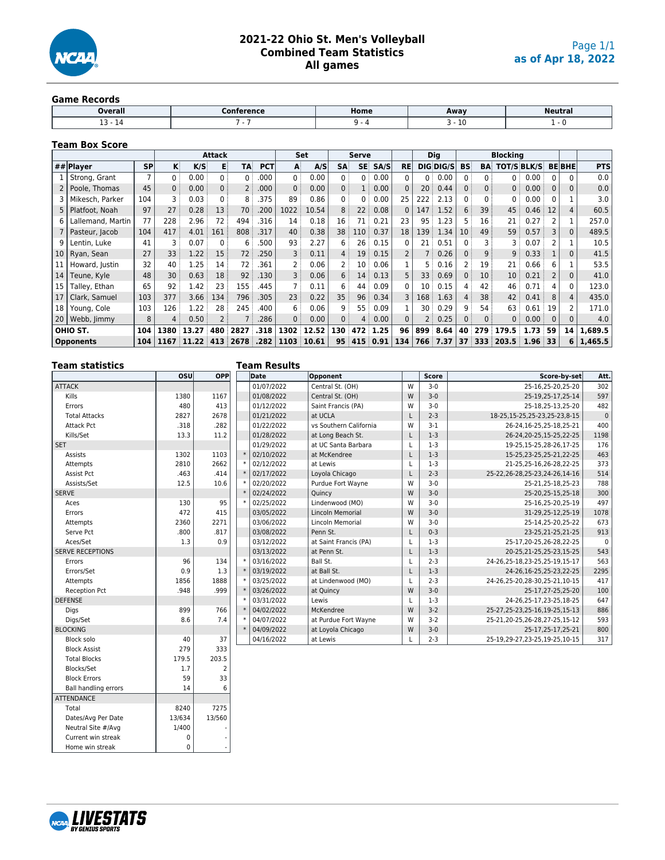

# **2021-22 Ohio St. Men's Volleyball Combined Team Statistics All games**

#### **Game Records**

| <b>Overall</b> | . | Home | Away      | Neutra. |
|----------------|---|------|-----------|---------|
| --<br>. .      |   |      | . .<br>⊥∪ |         |

## **Team Box Score**

|    |                   |           |                 |       | <b>Attack</b>  |                 |            |      | Set   |                   | Serve           |      |                |                 | <b>Dig</b> |                 |                   | <b>Blocking</b>    |               |                |                |            |
|----|-------------------|-----------|-----------------|-------|----------------|-----------------|------------|------|-------|-------------------|-----------------|------|----------------|-----------------|------------|-----------------|-------------------|--------------------|---------------|----------------|----------------|------------|
|    | ## Player         | <b>SP</b> | K               | K/S   | E              | <b>TA</b>       | <b>PCT</b> | A    | A/S   | <b>SA</b>         | <b>SE</b>       | SA/S | <b>RE</b>      |                 | DIG DIG/S  | <b>BS</b>       | BA                | <b>TOT/S BLK/S</b> |               |                | <b>BEBHE</b>   | <b>PTS</b> |
|    | Strong, Grant     |           | 0 <sup>1</sup>  | 0.00  | 0:             | $0^{\pm}$       | .000       | 0:   | 0.00  | $0$ :             | 0:              | 0.00 | 0              | 0               | 0.00       | 0:              | 0 <sup>1</sup>    | $0^{\pm}$          | 0.00          | O.             |                | 0.0        |
|    | Poole, Thomas     | 45        | 0:              | 0.00  | 0 <sup>1</sup> | 2:              | .000       | 0:   | 0.00  | 0 <sup>3</sup>    | 1:              | 0.00 | $\Omega$       | 20 <sup>3</sup> | 0.44       | 0 <sup>1</sup>  | 0:                | 0:                 | 0.00          | $\Omega$       | $\Omega$       | 0.0        |
|    | Mikesch, Parker   | 104       | 3               | 0.03  | $\Omega$       | 8               | .375       | 89   | 0.86  | 0:                | 0:              | 0.00 | 25             | 222             | 2.13       | 0:              | 0:                | 0:                 | 0.00          | 0              |                | 3.0        |
|    | Platfoot, Noah    | 97        | 27              | 0.28  | 13             | 70              | .200       | 1022 | 10.54 | 8 <sup>1</sup>    | 22 <sup>1</sup> | 0.08 | $\Omega$       | 147             | 1.52       | 6               | 39                | 45                 | 0.46          | 12             | $\overline{4}$ | 60.5       |
| 6  | Lallemand, Martin | 77        | 228             | 2.96  | 72             | 494             | .316       | 14   | 0.18  | 16                | 71              | 0.21 | 23             | 95              | 1.23       | 5.              | 16                | 21                 | 0.27          | 2              |                | 257.0      |
|    | Pasteur, Jacob    | 104       | 417             | 4.01  | 161            | 808             | .317       | 40:  | 0.38  | 38                | 110             | 0.37 | 18             | 139             | 1.34       | 10 <sup>1</sup> | 49                | 59                 | 0.57          | 3              | $\Omega$       | 489.5      |
| 9  | Lentin, Luke      | 41        | 3               | 0.07  | $\Omega$       | 6               | .500       | 93   | 2.27  | 6                 | 26              | 0.15 | $\Omega$       | 21              | 0.51       | 0               | 3                 | 3                  | 0.07          | 2              |                | 10.5       |
| 10 | Ryan, Sean        | 27        | 33              | 1.22  | 15             | 72 <sup>1</sup> | .250       | 3    | 0.11  | 4:                | 19 <sup>3</sup> | 0.15 | $\overline{2}$ |                 | 0.26       | 0:              | أ 9               | 9                  | 0.33          |                | $\Omega$       | 41.5       |
| 11 | Howard, Justin    | 32        | 40              | 1.25  | 14             | 72              | 361        | 2 :  | 0.06  | 2:                | 10 <sup>1</sup> | 0.06 |                | 5 :             | 0.16       | 2 :             | 19 <sup>1</sup>   | 21                 | 0.66:         | 6              |                | 53.5       |
| 14 | Teune, Kyle       | 48        | 30 <sup>3</sup> | 0.63  | 18             | 92              | .130       | 3    | 0.06  | 6:                | 14              | 0.13 | 5              | 33              | 0.69       | 0:              | 10 <sup>3</sup>   | 10 <sup>°</sup>    | 0.21          | $\overline{2}$ | $\Omega$       | 41.0       |
| 15 | Talley, Ethan     | 65        | 92              | 1.42  | 23             | 155             | .445       |      | 0.11  | 6                 | 44              | 0.09 | $\Omega$       | 10 <sup>1</sup> | 0.15       | 4               | 42                | 46                 | 0.71          | 4              | 0              | 123.0      |
| 17 | Clark, Samuel     | 103       | 377             | 3.66  | 134            | 796             | .305       | 23:  | 0.22  | 35 <sup>3</sup>   | 96 <sup>3</sup> | 0.34 | 3              | 168             | 1.63       | 4:              | 38                | 42                 | 0.41          | 8              | $\overline{4}$ | 435.0      |
| 18 | Young, Cole       | 103       | 126             | 1.22  | 28             | 245             | .400       | 6    | 0.06  | 9                 | 55              | 0.09 |                | 30              | 0.29       | 9               | 54                | 63                 | 0.61          | 19             |                | 171.0      |
| 20 | Webb, limmy       | 8         | 4:              | 0.50  |                |                 | .286       | 0:   | 0.00  | $0^{\frac{1}{2}}$ | 4:              | 0.00 | $\Omega$       |                 | 0.25       | 0:              | $0^{\frac{1}{2}}$ | 0:                 | 0.00          | $\Omega$       | $\Omega$       | 4.0        |
|    | OHIO ST.          | 104       | 1380            | 13.27 | 480            | 2827            | .318       | 1302 | 12.52 | 130               | 472             | 1.25 | 96             | 899             | 8.64       | 40              | 279               | 179.5              | 1.73:59       |                | 14             | 1.689.5    |
|    | <b>Opponents</b>  | 104       | 1167            | 11.22 | 413            | 2678            | .282       | 1103 | 10.61 |                   | 95:415          | 0.91 | 134            |                 | 766 7.37   | 37              | 333               | 203.5              | $1.96 \pm 33$ |                |                | 1,465.5    |
|    |                   |           |                 |       |                |                 |            |      |       |                   |                 |      |                |                 |            |                 |                   |                    |               |                |                | 6          |

| <b>Team statistics</b>      |            |                | <b>Team Results</b> |                         |              |              |                                   |             |
|-----------------------------|------------|----------------|---------------------|-------------------------|--------------|--------------|-----------------------------------|-------------|
|                             | <b>OSU</b> | <b>OPP</b>     | Date                | Opponent                |              | <b>Score</b> | Score-by-set                      | Att.        |
| <b>ATTACK</b>               |            |                | 01/07/2022          | Central St. (OH)        | W            | $3-0$        | 25-16,25-20,25-20                 | 302         |
| Kills                       | 1380       | 1167           | 01/08/2022          | Central St. (OH)        | W            | $3 - 0$      | 25-19,25-17,25-14                 | 597         |
| Errors                      | 480        | 413            | 01/12/2022          | Saint Francis (PA)      | W            | $3-0$        | 25-18,25-13,25-20                 | 482         |
| <b>Total Attacks</b>        | 2827       | 2678           | 01/21/2022          | at UCLA                 | L            | $2 - 3$      | 18-25, 15-25, 25-23, 25-23, 8-15  | $\mathbf 0$ |
| <b>Attack Pct</b>           | .318       | .282           | 01/22/2022          | vs Southern California  | W            | $3-1$        | 26-24, 16-25, 25-18, 25-21        | 400         |
| Kills/Set                   | 13.3       | 11.2           | 01/28/2022          | at Long Beach St.       | L            | $1-3$        | 26-24, 20-25, 15-25, 22-25        | 1198        |
| <b>SET</b>                  |            |                | 01/29/2022          | at UC Santa Barbara     | L            | $1-3$        | 19-25, 15-25, 28-26, 17-25        | 176         |
| Assists                     | 1302       | 1103           | 02/10/2022          | at McKendree            | $\mathsf{L}$ | $1-3$        | 15-25,23-25,25-21,22-25           | 463         |
| Attempts                    | 2810       | 2662           | 02/12/2022          | at Lewis                | L            | $1-3$        | 21-25,25-16,26-28,22-25           | 373         |
| Assist Pct                  | .463       | .414           | 02/17/2022          | Loyola Chicago          | L            | $2 - 3$      | 25-22, 26-28, 25-23, 24-26, 14-16 | 514         |
| Assists/Set                 | 12.5       | 10.6           | 02/20/2022          | Purdue Fort Wayne       | W            | $3 - 0$      | 25-21,25-18,25-23                 | 788         |
| <b>SERVE</b>                |            |                | 02/24/2022          | Quincy                  | W            | $3 - 0$      | 25-20, 25-15, 25-18               | 300         |
| Aces                        | 130        | 95             | 02/25/2022          | Lindenwood (MO)         | W            | $3 - 0$      | 25-16,25-20,25-19                 | 497         |
| Errors                      | 472        | 415            | 03/05/2022          | <b>Lincoln Memorial</b> | W            | $3 - 0$      | 31-29,25-12,25-19                 | 1078        |
| Attempts                    | 2360       | 2271           | 03/06/2022          | <b>Lincoln Memorial</b> | W            | $3 - 0$      | 25-14,25-20,25-22                 | 673         |
| Serve Pct                   | .800       | .817           | 03/08/2022          | Penn St.                | L            | $0 - 3$      | 23-25, 21-25, 21-25               | 913         |
| Aces/Set                    | 1.3        | 0.9            | 03/12/2022          | at Saint Francis (PA)   | L            | $1-3$        | 25-17,20-25,26-28,22-25           | $\mathbf 0$ |
| <b>SERVE RECEPTIONS</b>     |            |                | 03/13/2022          | at Penn St.             | $\mathsf{L}$ | $1-3$        | 20-25, 21-25, 25-23, 15-25        | 543         |
| Errors                      | 96         | 134            | 03/16/2022          | Ball St.                | L            | $2 - 3$      | 24-26,25-18,23-25,25-19,15-17     | 563         |
| Errors/Set                  | 0.9        | 1.3            | 03/19/2022          | at Ball St.             | L            | $1-3$        | 24-26,16-25,25-23,22-25           | 2295        |
| Attempts                    | 1856       | 1888           | 03/25/2022          | at Lindenwood (MO)      | L            | $2 - 3$      | 24-26,25-20,28-30,25-21,10-15     | 417         |
| <b>Reception Pct</b>        | .948       | .999           | 03/26/2022          | at Quincy               | W            | $3 - 0$      | 25-17,27-25,25-20                 | 100         |
| <b>DEFENSE</b>              |            |                | 03/31/2022          | Lewis                   | L            | $1-3$        | 24-26,25-17,23-25,18-25           | 647         |
| Digs                        | 899        | 766            | 04/02/2022          | McKendree               | W            | $3 - 2$      | 25-27, 25-23, 25-16, 19-25, 15-13 | 886         |
| Digs/Set                    | 8.6        | 7.4            | 04/07/2022          | at Purdue Fort Wayne    | W            | $3 - 2$      | 25-21, 20-25, 26-28, 27-25, 15-12 | 593         |
| <b>BLOCKING</b>             |            |                | 04/09/2022          | at Loyola Chicago       | W            | $3 - 0$      | 25-17,25-17,25-21                 | 800         |
| Block solo                  | 40         | 37             | 04/16/2022          | at Lewis                | L            | $2 - 3$      | 25-19,29-27,23-25,19-25,10-15     | 317         |
| <b>Block Assist</b>         | 279        | 333            |                     |                         |              |              |                                   |             |
| <b>Total Blocks</b>         | 179.5      | 203.5          |                     |                         |              |              |                                   |             |
| Blocks/Set                  | 1.7        | $\overline{2}$ |                     |                         |              |              |                                   |             |
| <b>Block Errors</b>         | 59         | 33             |                     |                         |              |              |                                   |             |
| <b>Ball handling errors</b> | 14         | 6              |                     |                         |              |              |                                   |             |
| <b>ATTENDANCE</b>           |            |                |                     |                         |              |              |                                   |             |
| Total                       | 8240       | 7275           |                     |                         |              |              |                                   |             |
| Dates/Avg Per Date          | 13/634     | 13/560         |                     |                         |              |              |                                   |             |



Current win streak Home win streak

Dates/Avg Per Date  $\left\{\n \begin{array}{c}\n 13/634 \\
 1400\n \end{array}\n \right.$  13/560

Neutral Site #/Avg 1/400<br>
Current win streak 0<br>
Home win streak 0